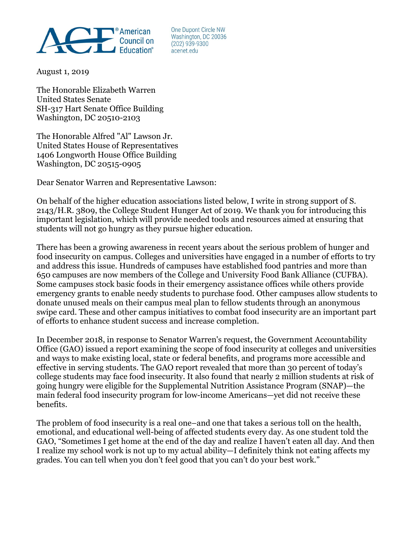

One Dupont Circle NW Washington, DC 20036  $(202)$  939-9300 acenet.edu

August 1, 2019

The Honorable Elizabeth Warren United States Senate SH-317 Hart Senate Office Building Washington, DC 20510-2103

The Honorable Alfred "Al" Lawson Jr. United States House of Representatives 1406 Longworth House Office Building Washington, DC 20515-0905

Dear Senator Warren and Representative Lawson:

On behalf of the higher education associations listed below, I write in strong support of S. 2143/H.R. 3809, the College Student Hunger Act of 2019. We thank you for introducing this important legislation, which will provide needed tools and resources aimed at ensuring that students will not go hungry as they pursue higher education.

There has been a growing awareness in recent years about the serious problem of hunger and food insecurity on campus. Colleges and universities have engaged in a number of efforts to try and address this issue. Hundreds of campuses have established food pantries and more than 650 campuses are now members of the College and University Food Bank Alliance (CUFBA). Some campuses stock basic foods in their emergency assistance offices while others provide emergency grants to enable needy students to purchase food. Other campuses allow students to donate unused meals on their campus meal plan to fellow students through an anonymous swipe card. These and other campus initiatives to combat food insecurity are an important part of efforts to enhance student success and increase completion.

In December 2018, in response to Senator Warren's request, the Government Accountability Office (GAO) issued a report examining the scope of food insecurity at colleges and universities and ways to make existing local, state or federal benefits, and programs more accessible and effective in serving students. The GAO report revealed that more than 30 percent of today's college students may face food insecurity. It also found that nearly 2 million students at risk of going hungry were eligible for the Supplemental Nutrition Assistance Program (SNAP)—the main federal food insecurity program for low-income Americans—yet did not receive these benefits.

The problem of food insecurity is a real one–and one that takes a serious toll on the health, emotional, and educational well-being of affected students every day. As one student told the GAO, "Sometimes I get home at the end of the day and realize I haven't eaten all day. And then I realize my school work is not up to my actual ability—I definitely think not eating affects my grades. You can tell when you don't feel good that you can't do your best work."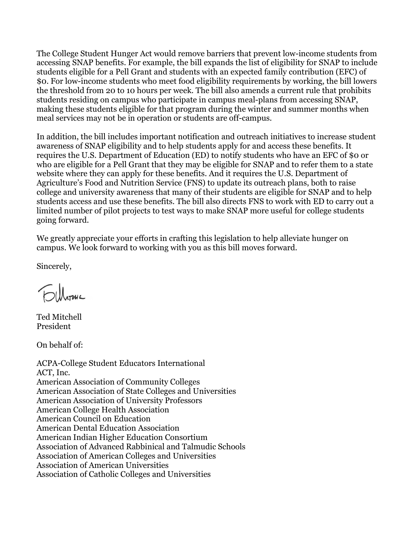The College Student Hunger Act would remove barriers that prevent low-income students from accessing SNAP benefits. For example, the bill expands the list of eligibility for SNAP to include students eligible for a Pell Grant and students with an expected family contribution (EFC) of \$0. For low-income students who meet food eligibility requirements by working, the bill lowers the threshold from 20 to 10 hours per week. The bill also amends a current rule that prohibits students residing on campus who participate in campus meal-plans from accessing SNAP, making these students eligible for that program during the winter and summer months when meal services may not be in operation or students are off-campus.

In addition, the bill includes important notification and outreach initiatives to increase student awareness of SNAP eligibility and to help students apply for and access these benefits. It requires the U.S. Department of Education (ED) to notify students who have an EFC of \$0 or who are eligible for a Pell Grant that they may be eligible for SNAP and to refer them to a state website where they can apply for these benefits. And it requires the U.S. Department of Agriculture's Food and Nutrition Service (FNS) to update its outreach plans, both to raise college and university awareness that many of their students are eligible for SNAP and to help students access and use these benefits. The bill also directs FNS to work with ED to carry out a limited number of pilot projects to test ways to make SNAP more useful for college students going forward.

We greatly appreciate your efforts in crafting this legislation to help alleviate hunger on campus. We look forward to working with you as this bill moves forward.

Sincerely,

Ted Mitchell President

On behalf of:

ACPA-College Student Educators International ACT, Inc. American Association of Community Colleges American Association of State Colleges and Universities American Association of University Professors American College Health Association American Council on Education American Dental Education Association American Indian Higher Education Consortium Association of Advanced Rabbinical and Talmudic Schools Association of American Colleges and Universities Association of American Universities Association of Catholic Colleges and Universities